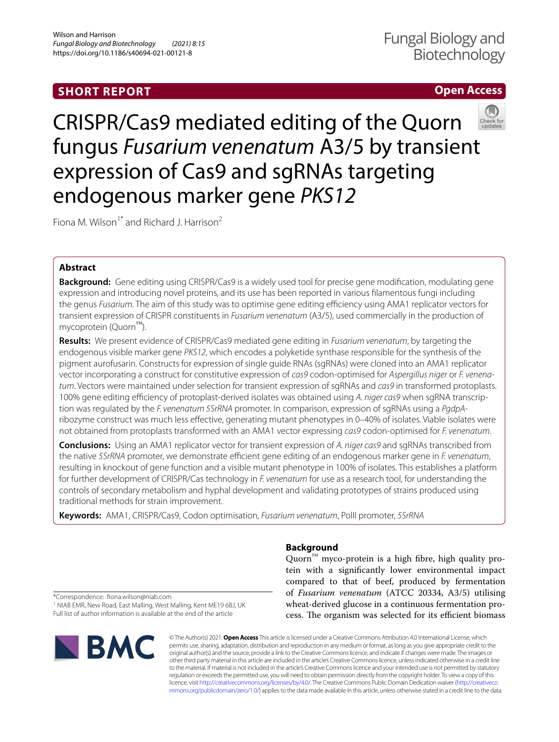# **SHORT REPORT**

# **Open Access**



CRISPR/Cas9 mediated editing of the Quorn fungus *Fusarium venenatum* A3/5 by transient expression of Cas9 and sgRNAs targeting endogenous marker gene *PKS12*

Fiona M. Wilson<sup>1\*</sup> and Richard J. Harrison<sup>2</sup>

# **Abstract**

**Background:** Gene editing using CRISPR/Cas9 is a widely used tool for precise gene modifcation, modulating gene expression and introducing novel proteins, and its use has been reported in various flamentous fungi including the genus *Fusarium*. The aim of this study was to optimise gene editing efficiency using AMA1 replicator vectors for transient expression of CRISPR constituents in *Fusarium venenatum* (A3/5), used commercially in the production of mycoprotein (Quorn™).

**Results:** We present evidence of CRISPR/Cas9 mediated gene editing in *Fusarium venenatum*, by targeting the endogenous visible marker gene *PKS12*, which encodes a polyketide synthase responsible for the synthesis of the pigment aurofusarin. Constructs for expression of single guide RNAs (sgRNAs) were cloned into an AMA1 replicator vector incorporating a construct for constitutive expression of *cas9* codon-optimised for *Aspergillus niger* or *F. venenatum*. Vectors were maintained under selection for transient expression of sgRNAs and *cas9* in transformed protoplasts. 100% gene editing efficiency of protoplast-derived isolates was obtained using A. niger cas9 when sgRNA transcription was regulated by the *F. venenatum 5SrRNA* promoter. In comparison, expression of sgRNAs using a *PgdpA*ribozyme construct was much less efective, generating mutant phenotypes in 0–40% of isolates. Viable isolates were not obtained from protoplasts transformed with an AMA1 vector expressing *cas9* codon-optimised for *F. venenatum*.

**Conclusions:** Using an AMA1 replicator vector for transient expression of *A. niger cas9* and sgRNAs transcribed from the native *5SrRNA* promoter, we demonstrate efficient gene editing of an endogenous marker gene in *F. venenatum*, resulting in knockout of gene function and a visible mutant phenotype in 100% of isolates. This establishes a platform for further development of CRISPR/Cas technology in *F. venenatum* for use as a research tool, for understanding the controls of secondary metabolism and hyphal development and validating prototypes of strains produced using traditional methods for strain improvement.

**Keywords:** AMA1, CRISPR/Cas9, Codon optimisation, *Fusarium venenatum*, PolII promoter, *5SrRNA*

# **Background**

Quorn<sup>™</sup> myco-protein is a high fibre, high quality protein with a signifcantly lower environmental impact compared to that of beef, produced by fermentation of *Fusarium venenatum* (ATCC 20334, A3/5) utilising wheat-derived glucose in a continuous fermentation process. The organism was selected for its efficient biomass

\*Correspondence: fona.wilson@niab.com

<sup>1</sup> NIAB EMR, New Road, East Malling, West Malling, Kent ME19 6BJ, UK Full list of author information is available at the end of the article



© The Author(s) 2021. **Open Access** This article is licensed under a Creative Commons Attribution 4.0 International License, which permits use, sharing, adaptation, distribution and reproduction in any medium or format, as long as you give appropriate credit to the original author(s) and the source, provide a link to the Creative Commons licence, and indicate if changes were made. The images or other third party material in this article are included in the article's Creative Commons licence, unless indicated otherwise in a credit line to the material. If material is not included in the article's Creative Commons licence and your intended use is not permitted by statutory regulation or exceeds the permitted use, you will need to obtain permission directly from the copyright holder. To view a copy of this licence, visit [http://creativecommons.org/licenses/by/4.0/.](http://creativecommons.org/licenses/by/4.0/) The Creative Commons Public Domain Dedication waiver ([http://creativeco](http://creativecommons.org/publicdomain/zero/1.0/) [mmons.org/publicdomain/zero/1.0/](http://creativecommons.org/publicdomain/zero/1.0/)) applies to the data made available in this article, unless otherwise stated in a credit line to the data.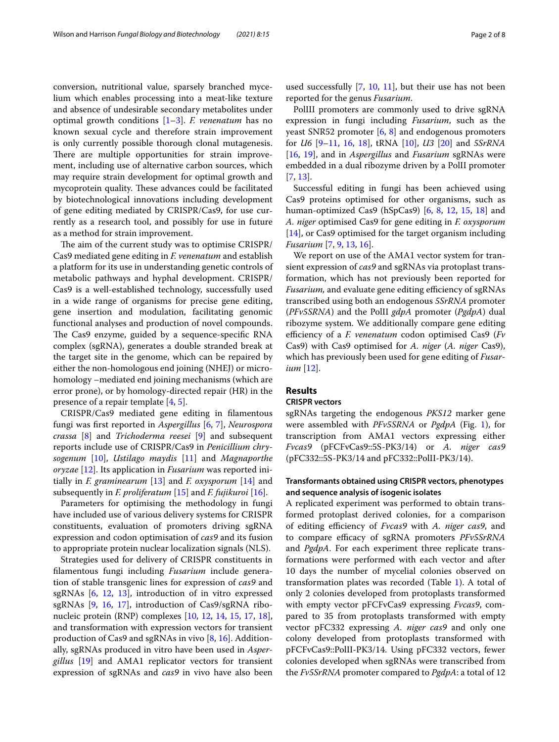conversion, nutritional value, sparsely branched mycelium which enables processing into a meat-like texture and absence of undesirable secondary metabolites under optimal growth conditions [[1](#page-7-0)[–3](#page-7-1)]. *F. venenatum* has no known sexual cycle and therefore strain improvement is only currently possible thorough clonal mutagenesis. There are multiple opportunities for strain improvement, including use of alternative carbon sources, which may require strain development for optimal growth and mycoprotein quality. These advances could be facilitated by biotechnological innovations including development of gene editing mediated by CRISPR/Cas9, for use currently as a research tool, and possibly for use in future as a method for strain improvement.

The aim of the current study was to optimise CRISPR/ Cas9 mediated gene editing in *F. venenatum* and establish a platform for its use in understanding genetic controls of metabolic pathways and hyphal development. CRISPR/ Cas9 is a well-established technology, successfully used in a wide range of organisms for precise gene editing, gene insertion and modulation, facilitating genomic functional analyses and production of novel compounds. The Cas9 enzyme, guided by a sequence-specific RNA complex (sgRNA), generates a double stranded break at the target site in the genome, which can be repaired by either the non-homologous end joining (NHEJ) or microhomology –mediated end joining mechanisms (which are error prone), or by homology-directed repair (HR) in the presence of a repair template [\[4,](#page-7-2) [5](#page-7-3)].

CRISPR/Cas9 mediated gene editing in flamentous fungi was frst reported in *Aspergillus* [[6,](#page-7-4) [7\]](#page-7-5), *Neurospora crassa* [[8\]](#page-7-6) and *Trichoderma reesei* [\[9](#page-7-7)] and subsequent reports include use of CRISPR/Cas9 in *Penicillium chrysogenum* [\[10\]](#page-7-8), *Ustilago maydis* [[11\]](#page-7-9) and *Magnaporthe oryzae* [\[12](#page-7-10)]. Its application in *Fusarium* was reported initially in *F. graminearum* [\[13](#page-7-11)] and *F. oxysporum* [\[14\]](#page-7-12) and subsequently in *F. proliferatum* [\[15](#page-7-13)] and *F. fujikuroi* [\[16](#page-7-14)].

Parameters for optimising the methodology in fungi have included use of various delivery systems for CRISPR constituents, evaluation of promoters driving sgRNA expression and codon optimisation of *cas9* and its fusion to appropriate protein nuclear localization signals (NLS).

Strategies used for delivery of CRISPR constituents in flamentous fungi including *Fusarium* include generation of stable transgenic lines for expression of *cas9* and sgRNAs [\[6](#page-7-4), [12,](#page-7-10) [13](#page-7-11)], introduction of in vitro expressed sgRNAs [\[9](#page-7-7), [16](#page-7-14), [17\]](#page-7-15), introduction of Cas9/sgRNA ribonucleic protein (RNP) complexes [[10](#page-7-8), [12,](#page-7-10) [14,](#page-7-12) [15,](#page-7-13) [17,](#page-7-15) [18](#page-7-16)], and transformation with expression vectors for transient production of Cas9 and sgRNAs in vivo [\[8](#page-7-6), [16\]](#page-7-14). Additionally, sgRNAs produced in vitro have been used in *Aspergillus* [[19](#page-7-17)] and AMA1 replicator vectors for transient expression of sgRNAs and *cas9* in vivo have also been used successfully [[7,](#page-7-5) [10](#page-7-8), [11\]](#page-7-9), but their use has not been reported for the genus *Fusarium*.

PolIII promoters are commonly used to drive sgRNA expression in fungi including *Fusarium*, such as the yeast SNR52 promoter [[6](#page-7-4), [8\]](#page-7-6) and endogenous promoters for *U6* [\[9](#page-7-7)[–11,](#page-7-9) [16,](#page-7-14) [18](#page-7-16)], tRNA [\[10](#page-7-8)], *U3* [\[20](#page-7-18)] and *5SrRNA* [[16,](#page-7-14) [19](#page-7-17)], and in *Aspergillus* and *Fusarium* sgRNAs were embedded in a dual ribozyme driven by a PolII promoter [[7,](#page-7-5) [13](#page-7-11)].

Successful editing in fungi has been achieved using Cas9 proteins optimised for other organisms, such as human-optimized Cas9 (hSpCas9) [[6](#page-7-4), [8](#page-7-6), [12,](#page-7-10) [15](#page-7-13), [18\]](#page-7-16) and *A. niger* optimised Cas9 for gene editing in *F. oxysporum* [[14\]](#page-7-12), or Cas9 optimised for the target organism including *Fusarium* [[7,](#page-7-5) [9,](#page-7-7) [13](#page-7-11), [16\]](#page-7-14).

We report on use of the AMA1 vector system for transient expression of *cas9* and sgRNAs via protoplast transformation, which has not previously been reported for *Fusarium*, and evaluate gene editing efficiency of sgRNAs transcribed using both an endogenous *5SrRNA* promoter (*PFv5SRNA*) and the PolII *gdpA* promoter (*PgdpA*) dual ribozyme system. We additionally compare gene editing efficiency of a *F. venenatum* codon optimised Cas9 (*Fv* Cas9) with Cas9 optimised for *A. niger* (*A. niger* Cas9), which has previously been used for gene editing of *Fusarium* [\[12](#page-7-10)].

# **Results**

#### **CRISPR vectors**

sgRNAs targeting the endogenous *PKS12* marker gene were assembled with *PFv5SRNA* or *PgdpA* (Fig. [1](#page-2-0)), for transcription from AMA1 vectors expressing either *Fvcas9* (pFCFvCas9::5S-PK3/14) or *A. niger cas9* (pFC332::5S-PK3/14 and pFC332::PolII-PK3/14).

# **Transformants obtained using CRISPR vectors, phenotypes and sequence analysis of isogenic isolates**

A replicated experiment was performed to obtain transformed protoplast derived colonies, for a comparison of editing efficiency of *Fvcas9* with *A. niger cas9*, and to compare efficacy of sgRNA promoters *PFv5SrRNA* and *PgdpA*. For each experiment three replicate transformations were performed with each vector and after 10 days the number of mycelial colonies observed on transformation plates was recorded (Table [1](#page-2-1)). A total of only 2 colonies developed from protoplasts transformed with empty vector pFCFvCas9 expressing *Fvcas9*, compared to 35 from protoplasts transformed with empty vector pFC332 expressing *A. niger cas9* and only one colony developed from protoplasts transformed with pFCFvCas9::PolII-PK3/14. Using pFC332 vectors, fewer colonies developed when sgRNAs were transcribed from the *Fv5SrRNA* promoter compared to *PgdpA*: a total of 12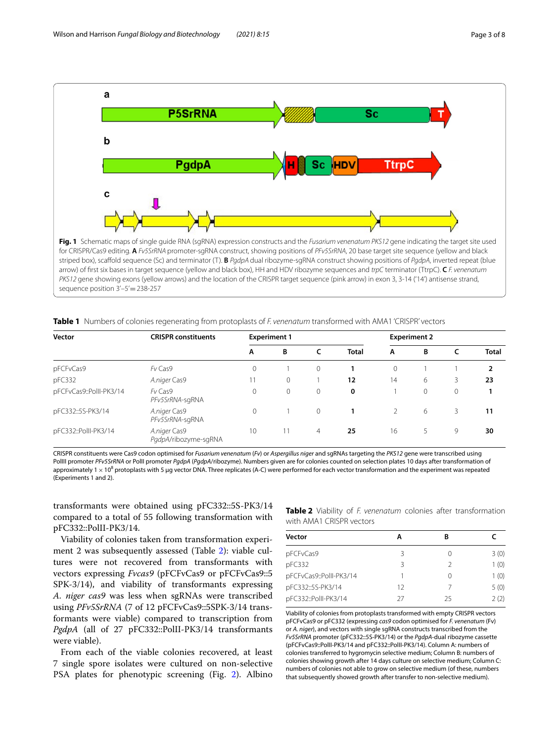

<span id="page-2-1"></span><span id="page-2-0"></span>**Table 1** Numbers of colonies regenerating from protoplasts of *F. venenatum* transformed with AMA1 'CRISPR' vectors

| Vector                  | <b>CRISPR constituents</b>           | <b>Experiment 1</b> |    |          |              | <b>Experiment 2</b> |   |   |              |
|-------------------------|--------------------------------------|---------------------|----|----------|--------------|---------------------|---|---|--------------|
|                         |                                      | A                   | B  |          | <b>Total</b> | A                   | B | C | <b>Total</b> |
| pFCFvCas9               | Fv Cas9                              | $\Omega$            |    | $\Omega$ |              | 0                   |   |   | 2            |
| pFC332                  | A.niger Cas9                         |                     | 0  |          | 12           | 14                  | 6 | 3 | 23           |
| pFCFvCas9::PollI-PK3/14 | Fv Cas9<br>PFv5SrRNA-sgRNA           | $\Omega$            |    | $\Omega$ | 0            |                     | 0 | 0 |              |
| pFC332::5S-PK3/14       | A.niger Cas9<br>PFv5SrRNA-sgRNA      | $\Omega$            |    | $\circ$  |              |                     | 6 | 3 | 11           |
| pFC332::PollI-PK3/14    | A.niger Cas9<br>PgdpA/ribozyme-sqRNA | 10                  | 11 | 4        | 25           | 16                  | 5 | 9 | 30           |

CRISPR constituents were Cas9 codon optimised for *Fusarium venenatum* (*Fv*) or *Aspergillus niger* and sgRNAs targeting the *PKS12* gene were transcribed using PolIII promoter *PFv5SrRNA* or PolII promoter *PgdpA* (*PgdpA*/ribozyme). Numbers given are for colonies counted on selection plates 10 days after transformation of approximately 1  $\times$  10<sup>8</sup> protoplasts with 5 µg vector DNA. Three replicates (A-C) were performed for each vector transformation and the experiment was repeated (Experiments 1 and 2).

transformants were obtained using pFC332::5S-PK3/14 compared to a total of 55 following transformation with pFC332::PolII-PK3/14.

Viability of colonies taken from transformation experiment 2 was subsequently assessed (Table [2](#page-2-2)): viable cultures were not recovered from transformants with vectors expressing *Fvcas9* (pFCFvCas9 or pFCFvCas9::5 SPK-3/14), and viability of transformants expressing *A. niger cas9* was less when sgRNAs were transcribed using *PFv5SrRNA* (7 of 12 pFCFvCas9::5SPK-3/14 transformants were viable) compared to transcription from *PgdpA* (all of 27 pFC332::PolII-PK3/14 transformants were viable).

From each of the viable colonies recovered, at least 7 single spore isolates were cultured on non-selective PSA plates for phenotypic screening (Fig. [2\)](#page-3-0). Albino <span id="page-2-2"></span>**Table 2** Viability of *F. venenatum* colonies after transformation with AMA1 CRISPR vectors

| <b>Vector</b>           | А  | в  |      |
|-------------------------|----|----|------|
| pFCFvCas9               | 3  |    | 3(0) |
| pFC332                  | 3  | 2  | 1(0) |
| pFCFvCas9::PollI-PK3/14 |    |    | 1(0) |
| pFC332::5S-PK3/14       | 12 |    | 5(0) |
| pFC332::PollI-PK3/14    | 77 | 25 | 2(2) |

Viability of colonies from protoplasts transformed with empty CRISPR vectors pFCFvCas9 or pFC332 (expressing *cas9* codon optimised for *F. venenatum* (Fv) or *A. niger*), and vectors with single sgRNA constructs transcribed from the *Fv5SrRNA* promoter (pFC332::5S-PK3/14) or the *PgdpA*-dual ribozyme cassette (pFCFvCas9::PolII-PK3/14 and pFC332::PolII-PK3/14). Column A: numbers of colonies transferred to hygromycin selective medium; Column B: numbers of colonies showing growth after 14 days culture on selective medium; Column C: numbers of colonies not able to grow on selective medium (of these, numbers that subsequently showed growth after transfer to non-selective medium).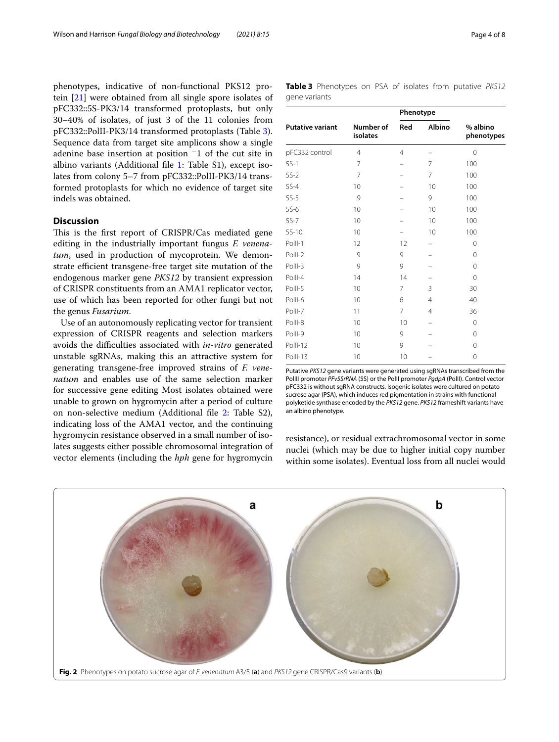phenotypes, indicative of non-functional PKS12 protein [\[21](#page-7-19)] were obtained from all single spore isolates of pFC332::5S-PK3/14 transformed protoplasts, but only 30–40% of isolates, of just 3 of the 11 colonies from pFC332::PolII-PK3/14 transformed protoplasts (Table [3](#page-3-1)). Sequence data from target site amplicons show a single adenine base insertion at position <sup>−</sup>1 of the cut site in albino variants (Additional fle [1:](#page-6-0) Table S1), except isolates from colony 5–7 from pFC332::PolII-PK3/14 transformed protoplasts for which no evidence of target site indels was obtained.

# **Discussion**

This is the first report of CRISPR/Cas mediated gene editing in the industrially important fungus *F. venena*tum, used in production of mycoprotein. We demonstrate efficient transgene-free target site mutation of the endogenous marker gene *PKS12* by transient expression of CRISPR constituents from an AMA1 replicator vector, use of which has been reported for other fungi but not the genus *Fusarium*.

Use of an autonomously replicating vector for transient expression of CRISPR reagents and selection markers avoids the difficulties associated with *in-vitro* generated unstable sgRNAs, making this an attractive system for generating transgene-free improved strains of *F. venenatum* and enables use of the same selection marker for successive gene editing Most isolates obtained were unable to grown on hygromycin after a period of culture on non-selective medium (Additional fle [2](#page-6-1): Table S2), indicating loss of the AMA1 vector, and the continuing hygromycin resistance observed in a small number of isolates suggests either possible chromosomal integration of vector elements (including the *hph* gene for hygromycin

<span id="page-3-1"></span>**Table 3** Phenotypes on PSA of isolates from putative *PKS12* gene variants

|                         |                       | Phenotype            |                |                        |  |
|-------------------------|-----------------------|----------------------|----------------|------------------------|--|
| <b>Putative variant</b> | Number of<br>isolates | <b>Albino</b><br>Red |                | % albino<br>phenotypes |  |
| pFC332 control          | $\overline{4}$        | 4                    |                | 0                      |  |
| $5S-1$                  | 7                     |                      | 7              | 100                    |  |
| $5S-2$                  | 7                     |                      | $\overline{7}$ | 100                    |  |
| $5S-4$                  | 10                    |                      | 10             | 100                    |  |
| $5S-5$                  | 9                     |                      | 9              | 100                    |  |
| $5S-6$                  | 10                    |                      | 10             | 100                    |  |
| $5S-7$                  | 10                    |                      | 10             | 100                    |  |
| $5S-10$                 | 10                    |                      | 10             | 100                    |  |
| PollI-1                 | 12                    | 12                   |                | 0                      |  |
| PollI-2                 | 9                     | 9                    |                | $\Omega$               |  |
| PollI-3                 | 9                     | 9                    |                | 0                      |  |
| Poll-4                  | 14                    | 14                   |                | 0                      |  |
| PollI-5                 | 10                    | 7                    | 3              | 30                     |  |
| PollI-6                 | 10                    | 6                    | $\overline{4}$ | 40                     |  |
| PollI-7                 | 11                    | 7                    | $\overline{4}$ | 36                     |  |
| PollI-8                 | 10                    | 10                   |                | $\Omega$               |  |
| PollI-9                 | 10                    | 9                    |                | 0                      |  |
| PollI-12                | 10                    | 9                    |                | 0                      |  |
| PollI-13                | 10                    | 10                   |                | 0                      |  |
|                         |                       |                      |                |                        |  |

Putative *PKS12* gene variants were generated using sgRNAs transcribed from the PolIII promoter *PFv5SrRNA* (5S) or the PolII promoter *PgdpA* (PolII). Control vector pFC332 is without sgRNA constructs. Isogenic isolates were cultured on potato sucrose agar (PSA), which induces red pigmentation in strains with functional polyketide synthase encoded by the *PKS12* gene. *PKS12* frameshift variants have an albino phenotype.

resistance), or residual extrachromosomal vector in some nuclei (which may be due to higher initial copy number within some isolates). Eventual loss from all nuclei would

<span id="page-3-0"></span>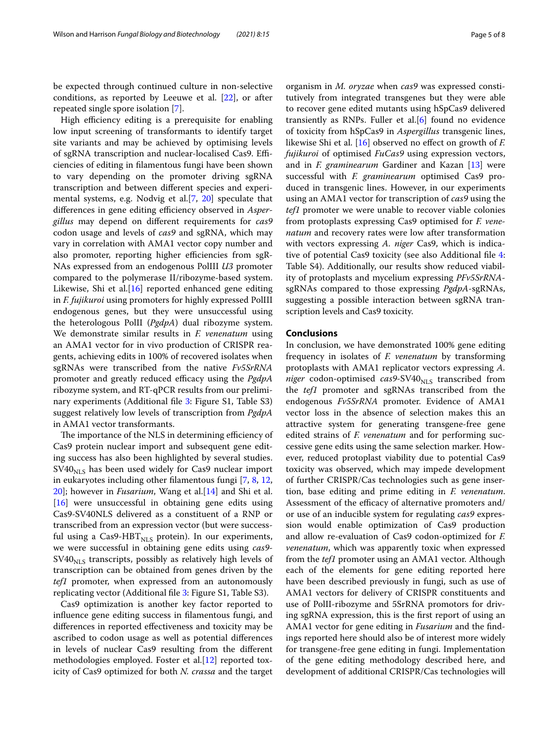be expected through continued culture in non-selective conditions, as reported by Leeuwe et al. [[22](#page-7-20)], or after repeated single spore isolation [[7\]](#page-7-5).

High efficiency editing is a prerequisite for enabling low input screening of transformants to identify target site variants and may be achieved by optimising levels of sgRNA transcription and nuclear-localised Cas9. Efficiencies of editing in flamentous fungi have been shown to vary depending on the promoter driving sgRNA transcription and between diferent species and experimental systems, e.g. Nodvig et al.[[7,](#page-7-5) [20\]](#page-7-18) speculate that differences in gene editing efficiency observed in *Aspergillus* may depend on diferent requirements for *cas9* codon usage and levels of *cas9* and sgRNA, which may vary in correlation with AMA1 vector copy number and also promoter, reporting higher efficiencies from sgR-NAs expressed from an endogenous PolIII *U3* promoter compared to the polymerase II/ribozyme-based system. Likewise, Shi et al. $[16]$  $[16]$  reported enhanced gene editing in *F. fujikuroi* using promoters for highly expressed PolIII endogenous genes, but they were unsuccessful using the heterologous PolII (*PgdpA*) dual ribozyme system. We demonstrate similar results in *F. venenatum* using an AMA1 vector for in vivo production of CRISPR reagents, achieving edits in 100% of recovered isolates when sgRNAs were transcribed from the native *Fv5SrRNA* promoter and greatly reduced efficacy using the *PgdpA* ribozyme system, and RT-qPCR results from our prelimi-nary experiments (Additional file [3](#page-6-2): Figure S1, Table S3) suggest relatively low levels of transcription from *PgdpA* in AMA1 vector transformants.

The importance of the NLS in determining efficiency of Cas9 protein nuclear import and subsequent gene editing success has also been highlighted by several studies.  $SVAO<sub>NLS</sub>$  has been used widely for Cas9 nuclear import in eukaryotes including other flamentous fungi [[7,](#page-7-5) [8](#page-7-6), [12](#page-7-10), [20\]](#page-7-18); however in *Fusarium*, Wang et al.[[14](#page-7-12)] and Shi et al. [[16\]](#page-7-14) were unsuccessful in obtaining gene edits using Cas9-SV40NLS delivered as a constituent of a RNP or transcribed from an expression vector (but were successful using a Cas9-HBT $_{\text{NLS}}$  protein). In our experiments, we were successful in obtaining gene edits using *cas9-*  $SVAO<sub>NLS</sub>$  transcripts, possibly as relatively high levels of transcription can be obtained from genes driven by the *tef1* promoter, when expressed from an autonomously replicating vector (Additional fle [3](#page-6-2): Figure S1, Table S3).

Cas9 optimization is another key factor reported to infuence gene editing success in flamentous fungi, and diferences in reported efectiveness and toxicity may be ascribed to codon usage as well as potential diferences in levels of nuclear Cas9 resulting from the diferent methodologies employed. Foster et al.[[12](#page-7-10)] reported toxicity of Cas9 optimized for both *N. crassa* and the target

organism in *M. oryzae* when *cas9* was expressed constitutively from integrated transgenes but they were able to recover gene edited mutants using hSpCas9 delivered transiently as RNPs. Fuller et al. $[6]$  found no evidence of toxicity from hSpCas9 in *Aspergillus* transgenic lines, likewise Shi et al. [[16\]](#page-7-14) observed no efect on growth of *F. fujikuroi* of optimised *FuCas9* using expression vectors, and in *F. graminearum* Gardiner and Kazan [[13\]](#page-7-11) were successful with *F. graminearum* optimised Cas9 produced in transgenic lines. However, in our experiments using an AMA1 vector for transcription of *cas9* using the *tef1* promoter we were unable to recover viable colonies from protoplasts expressing Cas9 optimised for *F. venenatum* and recovery rates were low after transformation with vectors expressing *A. niger* Cas9, which is indicative of potential Cas9 toxicity (see also Additional fle [4](#page-6-3): Table S4). Additionally, our results show reduced viability of protoplasts and mycelium expressing *PFv5SrRNA*sgRNAs compared to those expressing *PgdpA*-sgRNAs, suggesting a possible interaction between sgRNA transcription levels and Cas9 toxicity.

## **Conclusions**

In conclusion, we have demonstrated 100% gene editing frequency in isolates of *F. venenatum* by transforming protoplasts with AMA1 replicator vectors expressing *A. niger* codon-optimised  $cas9-SV40<sub>NLS</sub>$  transcribed from the *tef1* promoter and sgRNAs transcribed from the endogenous *Fv5SrRNA* promoter. Evidence of AMA1 vector loss in the absence of selection makes this an attractive system for generating transgene-free gene edited strains of *F. venenatum* and for performing successive gene edits using the same selection marker. However, reduced protoplast viability due to potential Cas9 toxicity was observed, which may impede development of further CRISPR/Cas technologies such as gene insertion, base editing and prime editing in *F. venenatum*. Assessment of the efficacy of alternative promoters and/ or use of an inducible system for regulating *cas9* expression would enable optimization of Cas9 production and allow re-evaluation of Cas9 codon-optimized for *F. venenatum*, which was apparently toxic when expressed from the *tef1* promoter using an AMA1 vector. Although each of the elements for gene editing reported here have been described previously in fungi, such as use of AMA1 vectors for delivery of CRISPR constituents and use of PolII-ribozyme and 5SrRNA promotors for driving sgRNA expression, this is the frst report of using an AMA1 vector for gene editing in *Fusarium* and the fndings reported here should also be of interest more widely for transgene-free gene editing in fungi. Implementation of the gene editing methodology described here, and development of additional CRISPR/Cas technologies will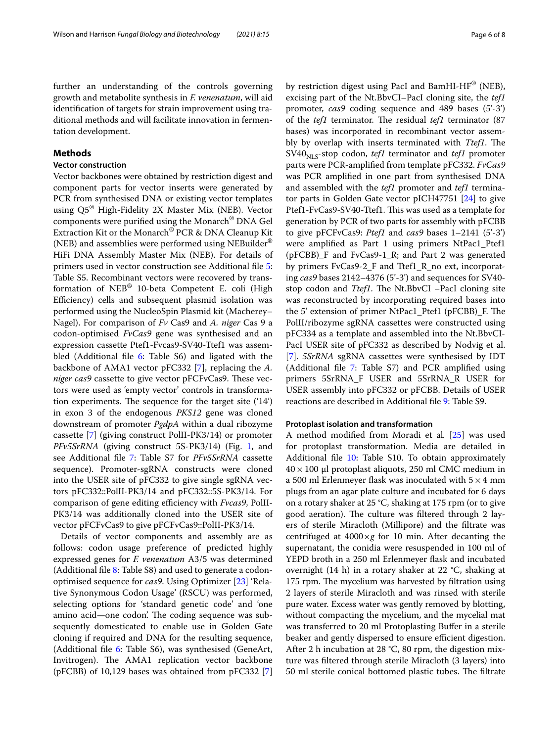further an understanding of the controls governing growth and metabolite synthesis in *F. venenatum*, will aid identifcation of targets for strain improvement using traditional methods and will facilitate innovation in fermentation development.

# **Methods**

# **Vector construction**

Vector backbones were obtained by restriction digest and component parts for vector inserts were generated by PCR from synthesised DNA or existing vector templates using Q5® High-Fidelity 2X Master Mix (NEB). Vector components were purifed using the Monarch® DNA Gel Extraction Kit or the Monarch® PCR & DNA Cleanup Kit (NEB) and assemblies were performed using NEBuilder® HiFi DNA Assembly Master Mix (NEB). For details of primers used in vector construction see Additional fle [5](#page-6-4): Table S5. Recombinant vectors were recovered by transformation of NEB® 10-beta Competent E. coli (High Efficiency) cells and subsequent plasmid isolation was performed using the NucleoSpin Plasmid kit (Macherey– Nagel). For comparison of *Fv* Cas9 and *A. niger* Cas 9 a codon-optimised *FvCas9* gene was synthesised and an expression cassette Ptef1-Fvcas9-SV40-Ttef1 was assem-bled (Additional file [6:](#page-6-5) Table S6) and ligated with the backbone of AMA1 vector pFC332 [\[7](#page-7-5)], replacing the *A. niger cas9* cassette to give vector pFCFvCas9. These vectors were used as 'empty vector' controls in transformation experiments. The sequence for the target site  $(14')$ in exon 3 of the endogenous *PKS12* gene was cloned downstream of promoter *PgdpA* within a dual ribozyme cassette [\[7\]](#page-7-5) (giving construct PolII-PK3/14) or promoter *PFv5SrRNA* (giving construct 5S-PK3/[1](#page-2-0)4) (Fig. 1, and see Additional fle [7:](#page-6-6) Table S7 for *PFv5SrRNA* cassette sequence). Promoter-sgRNA constructs were cloned into the USER site of pFC332 to give single sgRNA vectors pFC332::PolII-PK3/14 and pFC332::5S-PK3/14. For comparison of gene editing efficiency with *Fvcas9*, PolII-PK3/14 was additionally cloned into the USER site of vector pFCFvCas9 to give pFCFvCas9::PolII-PK3/14.

Details of vector components and assembly are as follows: codon usage preference of predicted highly expressed genes for *F. venenatum* A3/5 was determined (Additional file  $8:$  Table S8) and used to generate a codonoptimised sequence for *cas9*. Using Optimizer [[23\]](#page-7-21) 'Relative Synonymous Codon Usage' (RSCU) was performed, selecting options for 'standard genetic code' and 'one amino acid—one codon'. The coding sequence was subsequently domesticated to enable use in Golden Gate cloning if required and DNA for the resulting sequence, (Additional file [6](#page-6-5): Table S6), was synthesised (GeneArt, Invitrogen). The AMA1 replication vector backbone (pFCBB) of 10,129 bases was obtained from pFC332 [\[7](#page-7-5)]

by restriction digest using PacI and BamHI-HF® (NEB), excising part of the Nt.BbvCI–PacI cloning site, the *tef1* promoter, *cas9* coding sequence and 489 bases (5'-3') of the *tef1* terminator. The residual *tef1* terminator (87 bases) was incorporated in recombinant vector assembly by overlap with inserts terminated with *Ttef1*. The  $SVAO<sub>NI S</sub>$ -stop codon, *tef1* terminator and *tef1* promoter parts were PCR-amplifed from template pFC332. *FvCas9* was PCR amplifed in one part from synthesised DNA and assembled with the *tef1* promoter and *tef1* terminator parts in Golden Gate vector pICH47751 [\[24](#page-7-22)] to give Ptef1-FvCas9-SV40-Ttef1. This was used as a template for generation by PCR of two parts for assembly with pFCBB to give pFCFvCas9: *Ptef1* and *cas9* bases 1–2141 (5'-3') were amplifed as Part 1 using primers NtPac1\_Ptef1 (pFCBB)\_F and FvCas9-1\_R; and Part 2 was generated by primers FvCas9-2\_F and Ttef1\_R\_no ext, incorporating *cas9* bases 2142–4376 (5'-3') and sequences for SV40 stop codon and *Ttef1*. The Nt.BbvCI –PacI cloning site was reconstructed by incorporating required bases into the 5' extension of primer NtPac1\_Ptef1 (pFCBB)\_F. The PolII/ribozyme sgRNA cassettes were constructed using pFC334 as a template and assembled into the Nt.BbvCI-PacI USER site of pFC332 as described by Nodvig et al. [[7\]](#page-7-5). *5SrRNA* sgRNA cassettes were synthesised by IDT (Additional fle [7](#page-6-6): Table S7) and PCR amplifed using primers 5SrRNA\_F USER and 5SrRNA\_R USER for USER assembly into pFC332 or pFCBB. Details of USER reactions are described in Additional fle [9](#page-6-8): Table S9.

### **Protoplast isolation and transformation**

A method modifed from Moradi et al*.* [\[25\]](#page-7-23) was used for protoplast transformation. Media are detailed in Additional file [10](#page-6-9): Table S10. To obtain approximately  $40 \times 100$  µl protoplast aliquots, 250 ml CMC medium in a 500 ml Erlenmeyer flask was inoculated with  $5 \times 4$  mm plugs from an agar plate culture and incubated for 6 days on a rotary shaker at 25 °C, shaking at 175 rpm (or to give good aeration). The culture was filtered through 2 layers of sterile Miracloth (Millipore) and the fltrate was centrifuged at 4000×*g* for 10 min. After decanting the supernatant, the conidia were resuspended in 100 ml of YEPD broth in a 250 ml Erlenmeyer fask and incubated overnight (14 h) in a rotary shaker at 22 °C, shaking at 175 rpm. The mycelium was harvested by filtration using 2 layers of sterile Miracloth and was rinsed with sterile pure water. Excess water was gently removed by blotting, without compacting the mycelium, and the mycelial mat was transferred to 20 ml Protoplasting Bufer in a sterile beaker and gently dispersed to ensure efficient digestion. After 2 h incubation at 28 °C, 80 rpm, the digestion mixture was fltered through sterile Miracloth (3 layers) into 50 ml sterile conical bottomed plastic tubes. The filtrate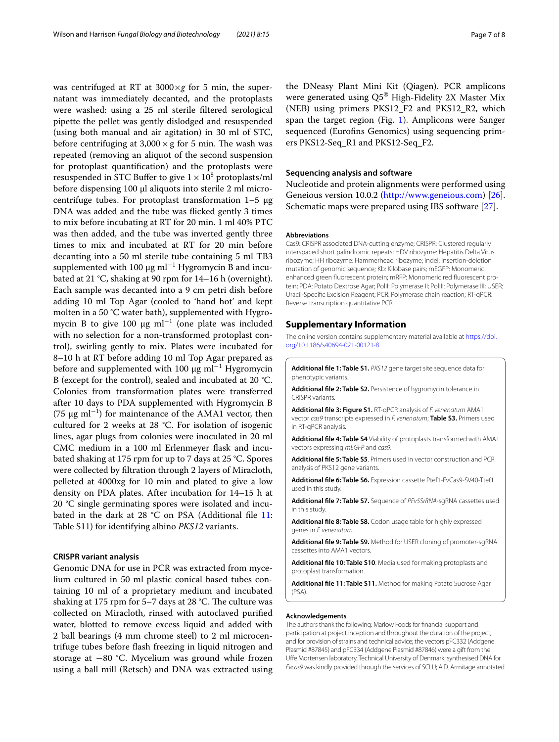was centrifuged at RT at 3000×*g* for 5 min, the supernatant was immediately decanted, and the protoplasts were washed: using a 25 ml sterile fltered serological pipette the pellet was gently dislodged and resuspended (using both manual and air agitation) in 30 ml of STC, before centrifuging at  $3,000 \times g$  for 5 min. The wash was repeated (removing an aliquot of the second suspension for protoplast quantifcation) and the protoplasts were resuspended in STC Buffer to give  $1 \times 10^8$  protoplasts/ml before dispensing 100 µl aliquots into sterile 2 ml microcentrifuge tubes. For protoplast transformation  $1-5 \mu g$ DNA was added and the tube was ficked gently 3 times to mix before incubating at RT for 20 min. 1 ml 40% PTC was then added, and the tube was inverted gently three times to mix and incubated at RT for 20 min before decanting into a 50 ml sterile tube containing 5 ml TB3 supplemented with 100 µg ml−<sup>1</sup> Hygromycin B and incubated at 21 °C, shaking at 90 rpm for 14–16 h (overnight). Each sample was decanted into a 9 cm petri dish before adding 10 ml Top Agar (cooled to 'hand hot' and kept molten in a 50 °C water bath), supplemented with Hygromycin B to give 100 μg  $ml^{-1}$  (one plate was included with no selection for a non-transformed protoplast control), swirling gently to mix. Plates were incubated for 8–10 h at RT before adding 10 ml Top Agar prepared as before and supplemented with 100 μg ml<sup>−1</sup> Hygromycin B (except for the control), sealed and incubated at 20 °C. Colonies from transformation plates were transferred after 10 days to PDA supplemented with Hygromycin B  $(75 \mu g \text{ ml}^{-1})$  for maintenance of the AMA1 vector, then cultured for 2 weeks at 28 °C. For isolation of isogenic lines, agar plugs from colonies were inoculated in 20 ml CMC medium in a 100 ml Erlenmeyer fask and incubated shaking at 175 rpm for up to 7 days at 25 °C. Spores were collected by fltration through 2 layers of Miracloth, pelleted at 4000xg for 10 min and plated to give a low density on PDA plates. After incubation for 14–15 h at 20 °C single germinating spores were isolated and incu-bated in the dark at 28 °C on PSA (Additional file [11](#page-6-10): Table S11) for identifying albino *PKS12* variants.

# **CRISPR variant analysis**

Genomic DNA for use in PCR was extracted from mycelium cultured in 50 ml plastic conical based tubes containing 10 ml of a proprietary medium and incubated shaking at 175 rpm for 5-7 days at 28 °C. The culture was collected on Miracloth, rinsed with autoclaved purifed water, blotted to remove excess liquid and added with 2 ball bearings (4 mm chrome steel) to 2 ml microcentrifuge tubes before fash freezing in liquid nitrogen and storage at −80 °C. Mycelium was ground while frozen using a ball mill (Retsch) and DNA was extracted using the DNeasy Plant Mini Kit (Qiagen). PCR amplicons were generated using Q5® High-Fidelity 2X Master Mix (NEB) using primers PKS12\_F2 and PKS12\_R2, which span the target region (Fig. [1\)](#page-2-0). Amplicons were Sanger sequenced (Eurofins Genomics) using sequencing primers PKS12-Seq\_R1 and PKS12-Seq\_F2.

# **Sequencing analysis and software**

Nucleotide and protein alignments were performed using Geneious version 10.0.2 (<http://www.geneious.com>) [\[26](#page-7-24)]. Schematic maps were prepared using IBS software [[27\]](#page-7-25).

#### **Abbreviations**

Cas9: CRISPR associated DNA-cutting enzyme; CRISPR: Clustered regularly interspaced short palindromic repeats; HDV ribozyme: Hepatitis Delta Virus ribozyme; HH ribozyme: Hammerhead ribozyme; indel: Insertion-deletion mutation of genomic sequence; Kb: Kilobase pairs; mEGFP: Monomeric enhanced green fuorescent protein; mRFP: Monomeric red fuorescent protein; PDA: Potato Dextrose Agar; PolII: Polymerase II; PolIII: Polymerase III; USER: Uracil-Specifc Excision Reagent; PCR: Polymerase chain reaction; RT-qPCR: Reverse transcription quantitative PCR.

#### **Supplementary Information**

The online version contains supplementary material available at [https://doi.](https://doi.org/10.1186/s40694-021-00121-8) [org/10.1186/s40694-021-00121-8](https://doi.org/10.1186/s40694-021-00121-8).

<span id="page-6-1"></span><span id="page-6-0"></span>**Additional fle 1: Table S1.** *PKS12* gene target site sequence data for phenotypic variants.

<span id="page-6-2"></span>**Additional fle 2: Table S2.** Persistence of hygromycin tolerance in CRISPR variants.

**Additional fle 3: Figure S1.** RT-qPCR analysis of *F. venenatum* AMA1 vector *cas9* transcripts expressed in *F. venenatum*; **Table S3.** Primers used in RT-qPCR analysis.

<span id="page-6-4"></span><span id="page-6-3"></span>**Additional fle 4: Table S4** Viability of protoplasts transformed with AMA1 vectors expressing *mEGFP* and *cas9*.

<span id="page-6-5"></span>**Additional fle 5: Table S5**. Primers used in vector construction and PCR analysis of PKS12 gene variants.

<span id="page-6-6"></span>**Additional fle 6: Table S6.** Expression cassette Ptef1-FvCas9-SV40-Ttef1 used in this study.

<span id="page-6-7"></span>**Additional fle 7: Table S7.** Sequence of *PFv5SrRNA*-sgRNA cassettes used in this study.

<span id="page-6-8"></span>**Additional fle 8: Table S8.** Codon usage table for highly expressed genes in *F. venenatum*.

<span id="page-6-9"></span>**Additional fle 9: Table S9.** Method for USER cloning of promoter-sgRNA cassettes into AMA1 vectors.

<span id="page-6-10"></span>**Additional fle 10: Table S10**. Media used for making protoplasts and protoplast transformation.

**Additional fle 11: Table S11.** Method for making Potato Sucrose Agar  $(PSA)$ 

#### **Acknowledgements**

The authors thank the following: Marlow Foods for fnancial support and participation at project inception and throughout the duration of the project, and for provision of strains and technical advice; the vectors pFC332 (Addgene Plasmid #87845) and pFC334 (Addgene Plasmid #87846) were a gift from the Ufe Mortensen laboratory, Technical University of Denmark; synthesised DNA for *Fvcas9* was kindly provided through the services of SCLU; A.D. Armitage annotated